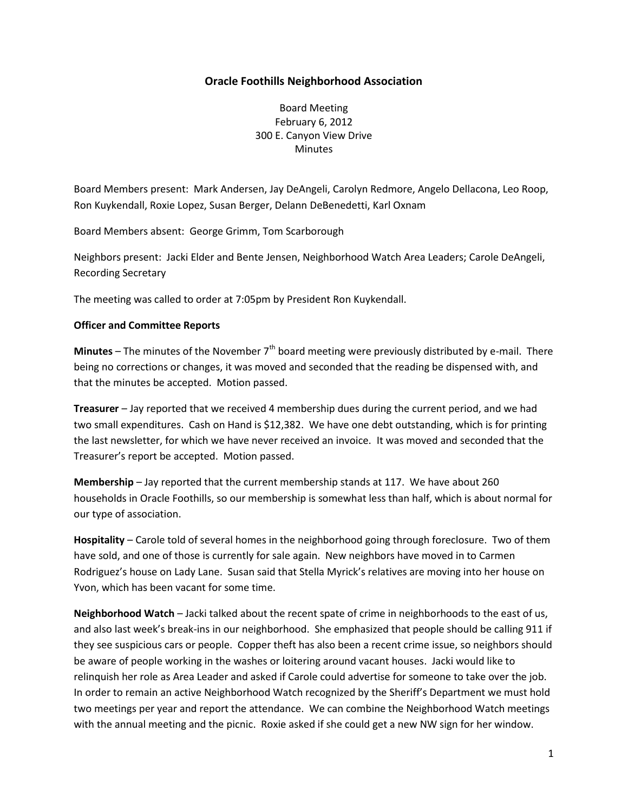## **Oracle Foothills Neighborhood Association**

Board Meeting February 6, 2012 300 E. Canyon View Drive **Minutes** 

Board Members present: Mark Andersen, Jay DeAngeli, Carolyn Redmore, Angelo Dellacona, Leo Roop, Ron Kuykendall, Roxie Lopez, Susan Berger, Delann DeBenedetti, Karl Oxnam

Board Members absent: George Grimm, Tom Scarborough

Neighbors present: Jacki Elder and Bente Jensen, Neighborhood Watch Area Leaders; Carole DeAngeli, Recording Secretary

The meeting was called to order at 7:05pm by President Ron Kuykendall.

#### **Officer and Committee Reports**

**Minutes** – The minutes of the November 7<sup>th</sup> board meeting were previously distributed by e-mail. There being no corrections or changes, it was moved and seconded that the reading be dispensed with, and that the minutes be accepted. Motion passed.

**Treasurer** – Jay reported that we received 4 membership dues during the current period, and we had two small expenditures. Cash on Hand is \$12,382. We have one debt outstanding, which is for printing the last newsletter, for which we have never received an invoice. It was moved and seconded that the Treasurer's report be accepted. Motion passed.

**Membership** – Jay reported that the current membership stands at 117. We have about 260 households in Oracle Foothills, so our membership is somewhat less than half, which is about normal for our type of association.

**Hospitality** – Carole told of several homes in the neighborhood going through foreclosure. Two of them have sold, and one of those is currently for sale again. New neighbors have moved in to Carmen Rodriguez's house on Lady Lane. Susan said that Stella Myrick's relatives are moving into her house on Yvon, which has been vacant for some time.

**Neighborhood Watch** – Jacki talked about the recent spate of crime in neighborhoods to the east of us, and also last week's break-ins in our neighborhood. She emphasized that people should be calling 911 if they see suspicious cars or people. Copper theft has also been a recent crime issue, so neighbors should be aware of people working in the washes or loitering around vacant houses. Jacki would like to relinquish her role as Area Leader and asked if Carole could advertise for someone to take over the job. In order to remain an active Neighborhood Watch recognized by the Sheriff's Department we must hold two meetings per year and report the attendance. We can combine the Neighborhood Watch meetings with the annual meeting and the picnic. Roxie asked if she could get a new NW sign for her window.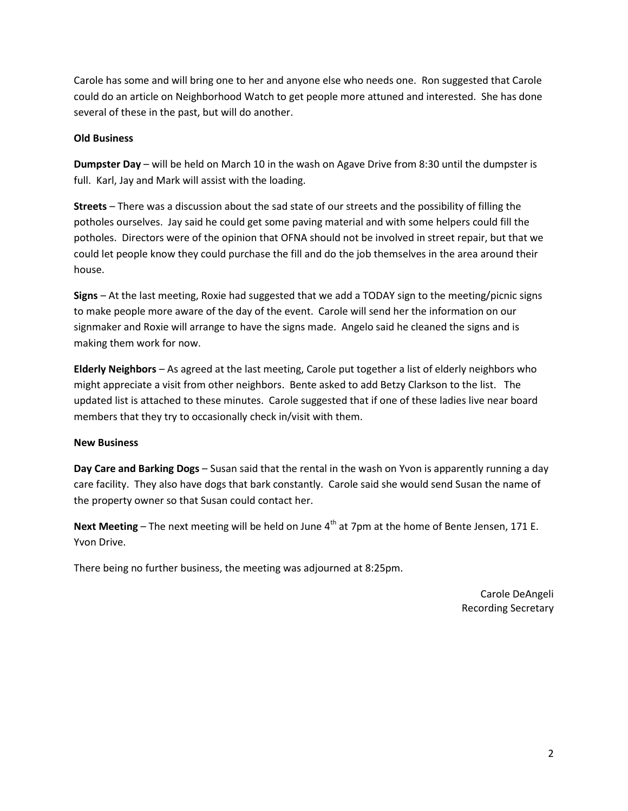Carole has some and will bring one to her and anyone else who needs one. Ron suggested that Carole could do an article on Neighborhood Watch to get people more attuned and interested. She has done several of these in the past, but will do another.

### **Old Business**

**Dumpster Day** – will be held on March 10 in the wash on Agave Drive from 8:30 until the dumpster is full. Karl, Jay and Mark will assist with the loading.

**Streets** – There was a discussion about the sad state of our streets and the possibility of filling the potholes ourselves. Jay said he could get some paving material and with some helpers could fill the potholes. Directors were of the opinion that OFNA should not be involved in street repair, but that we could let people know they could purchase the fill and do the job themselves in the area around their house.

**Signs** – At the last meeting, Roxie had suggested that we add a TODAY sign to the meeting/picnic signs to make people more aware of the day of the event. Carole will send her the information on our signmaker and Roxie will arrange to have the signs made. Angelo said he cleaned the signs and is making them work for now.

**Elderly Neighbors** – As agreed at the last meeting, Carole put together a list of elderly neighbors who might appreciate a visit from other neighbors. Bente asked to add Betzy Clarkson to the list. The updated list is attached to these minutes. Carole suggested that if one of these ladies live near board members that they try to occasionally check in/visit with them.

## **New Business**

**Day Care and Barking Dogs** – Susan said that the rental in the wash on Yvon is apparently running a day care facility. They also have dogs that bark constantly. Carole said she would send Susan the name of the property owner so that Susan could contact her.

**Next Meeting** – The next meeting will be held on June  $4<sup>th</sup>$  at 7pm at the home of Bente Jensen, 171 E. Yvon Drive.

There being no further business, the meeting was adjourned at 8:25pm.

Carole DeAngeli Recording Secretary